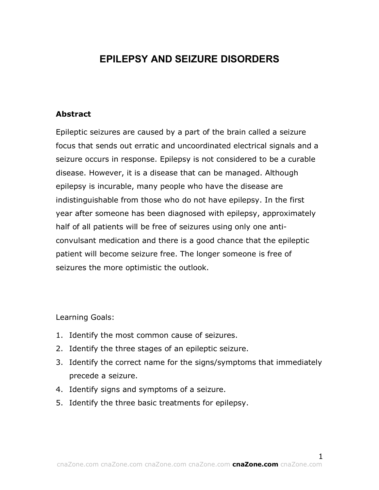# **EPILEPSY AND SEIZURE DISORDERS**

## **Abstract**

Epileptic seizures are caused by a part of the brain called a seizure focus that sends out erratic and uncoordinated electrical signals and a seizure occurs in response. Epilepsy is not considered to be a curable disease. However, it is a disease that can be managed. Although epilepsy is incurable, many people who have the disease are indistinguishable from those who do not have epilepsy. In the first year after someone has been diagnosed with epilepsy, approximately half of all patients will be free of seizures using only one anticonvulsant medication and there is a good chance that the epileptic patient will become seizure free. The longer someone is free of seizures the more optimistic the outlook.

Learning Goals:

- 1. Identify the most common cause of seizures.
- 2. Identify the three stages of an epileptic seizure.
- 3. Identify the correct name for the signs/symptoms that immediately precede a seizure.
- 4. Identify signs and symptoms of a seizure.
- 5. Identify the three basic treatments for epilepsy.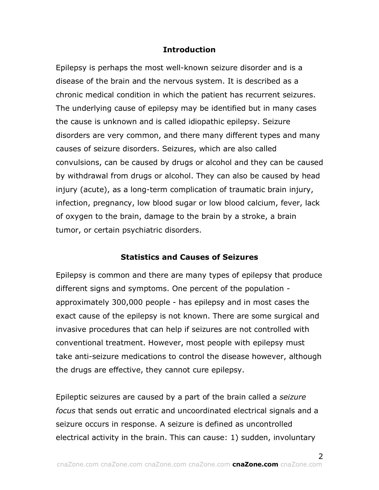# **Introduction**

Epilepsy is perhaps the most well-known seizure disorder and is a disease of the brain and the nervous system. It is described as a chronic medical condition in which the patient has recurrent seizures. The underlying cause of epilepsy may be identified but in many cases the cause is unknown and is called idiopathic epilepsy. Seizure disorders are very common, and there many different types and many causes of seizure disorders. Seizures, which are also called convulsions, can be caused by drugs or alcohol and they can be caused by withdrawal from drugs or alcohol. They can also be caused by head injury (acute), as a long-term complication of traumatic brain injury, infection, pregnancy, low blood sugar or low blood calcium, fever, lack of oxygen to the brain, damage to the brain by a stroke, a brain tumor, or certain psychiatric disorders.

# **Statistics and Causes of Seizures**

Epilepsy is common and there are many types of epilepsy that produce different signs and symptoms. One percent of the population approximately 300,000 people - has epilepsy and in most cases the exact cause of the epilepsy is not known. There are some surgical and invasive procedures that can help if seizures are not controlled with conventional treatment. However, most people with epilepsy must take anti-seizure medications to control the disease however, although the drugs are effective, they cannot cure epilepsy.

Epileptic seizures are caused by a part of the brain called a *seizure focus* that sends out erratic and uncoordinated electrical signals and a seizure occurs in response. A seizure is defined as uncontrolled electrical activity in the brain. This can cause: 1) sudden, involuntary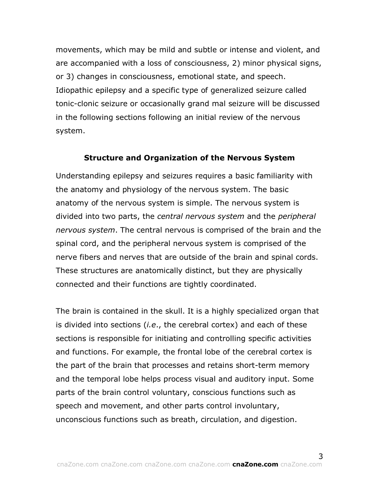movements, which may be mild and subtle or intense and violent, and are accompanied with a loss of consciousness, 2) minor physical signs, or 3) changes in consciousness, emotional state, and speech. Idiopathic epilepsy and a specific type of generalized seizure called tonic-clonic seizure or occasionally grand mal seizure will be discussed in the following sections following an initial review of the nervous system.

#### **Structure and Organization of the Nervous System**

Understanding epilepsy and seizures requires a basic familiarity with the anatomy and physiology of the nervous system. The basic anatomy of the nervous system is simple. The nervous system is divided into two parts, the *central nervous system* and the *peripheral nervous system*. The central nervous is comprised of the brain and the spinal cord, and the peripheral nervous system is comprised of the nerve fibers and nerves that are outside of the brain and spinal cords. These structures are anatomically distinct, but they are physically connected and their functions are tightly coordinated.

The brain is contained in the skull. It is a highly specialized organ that is divided into sections (*i.e*., the cerebral cortex) and each of these sections is responsible for initiating and controlling specific activities and functions. For example, the frontal lobe of the cerebral cortex is the part of the brain that processes and retains short-term memory and the temporal lobe helps process visual and auditory input. Some parts of the brain control voluntary, conscious functions such as speech and movement, and other parts control involuntary, unconscious functions such as breath, circulation, and digestion.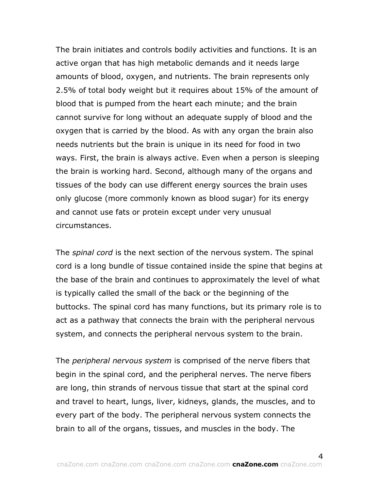The brain initiates and controls bodily activities and functions. It is an active organ that has high metabolic demands and it needs large amounts of blood, oxygen, and nutrients. The brain represents only 2.5% of total body weight but it requires about 15% of the amount of blood that is pumped from the heart each minute; and the brain cannot survive for long without an adequate supply of blood and the oxygen that is carried by the blood. As with any organ the brain also needs nutrients but the brain is unique in its need for food in two ways. First, the brain is always active. Even when a person is sleeping the brain is working hard. Second, although many of the organs and tissues of the body can use different energy sources the brain uses only glucose (more commonly known as blood sugar) for its energy and cannot use fats or protein except under very unusual circumstances.

The *spinal cord* is the next section of the nervous system. The spinal cord is a long bundle of tissue contained inside the spine that begins at the base of the brain and continues to approximately the level of what is typically called the small of the back or the beginning of the buttocks. The spinal cord has many functions, but its primary role is to act as a pathway that connects the brain with the peripheral nervous system, and connects the peripheral nervous system to the brain.

The *peripheral nervous system* is comprised of the nerve fibers that begin in the spinal cord, and the peripheral nerves. The nerve fibers are long, thin strands of nervous tissue that start at the spinal cord and travel to heart, lungs, liver, kidneys, glands, the muscles, and to every part of the body. The peripheral nervous system connects the brain to all of the organs, tissues, and muscles in the body. The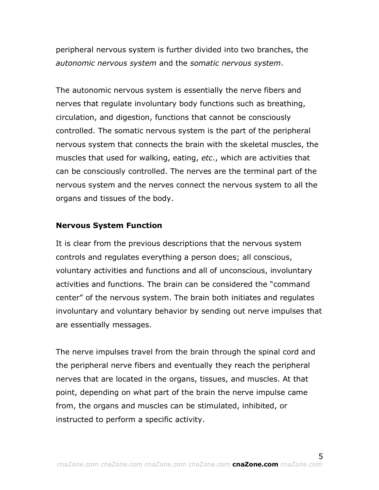peripheral nervous system is further divided into two branches, the *autonomic nervous system* and the *somatic nervous system*.

The autonomic nervous system is essentially the nerve fibers and nerves that regulate involuntary body functions such as breathing, circulation, and digestion, functions that cannot be consciously controlled. The somatic nervous system is the part of the peripheral nervous system that connects the brain with the skeletal muscles, the muscles that used for walking, eating, *etc*., which are activities that can be consciously controlled. The nerves are the terminal part of the nervous system and the nerves connect the nervous system to all the organs and tissues of the body.

# **Nervous System Function**

It is clear from the previous descriptions that the nervous system controls and regulates everything a person does; all conscious, voluntary activities and functions and all of unconscious, involuntary activities and functions. The brain can be considered the "command center" of the nervous system. The brain both initiates and regulates involuntary and voluntary behavior by sending out nerve impulses that are essentially messages.

The nerve impulses travel from the brain through the spinal cord and the peripheral nerve fibers and eventually they reach the peripheral nerves that are located in the organs, tissues, and muscles. At that point, depending on what part of the brain the nerve impulse came from, the organs and muscles can be stimulated, inhibited, or instructed to perform a specific activity.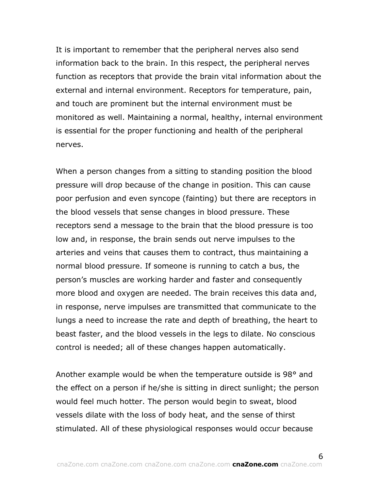It is important to remember that the peripheral nerves also send information back to the brain. In this respect, the peripheral nerves function as receptors that provide the brain vital information about the external and internal environment. Receptors for temperature, pain, and touch are prominent but the internal environment must be monitored as well. Maintaining a normal, healthy, internal environment is essential for the proper functioning and health of the peripheral nerves.

When a person changes from a sitting to standing position the blood pressure will drop because of the change in position. This can cause poor perfusion and even syncope (fainting) but there are receptors in the blood vessels that sense changes in blood pressure. These receptors send a message to the brain that the blood pressure is too low and, in response, the brain sends out nerve impulses to the arteries and veins that causes them to contract, thus maintaining a normal blood pressure. If someone is running to catch a bus, the person's muscles are working harder and faster and consequently more blood and oxygen are needed. The brain receives this data and, in response, nerve impulses are transmitted that communicate to the lungs a need to increase the rate and depth of breathing, the heart to beast faster, and the blood vessels in the legs to dilate. No conscious control is needed; all of these changes happen automatically.

Another example would be when the temperature outside is 98° and the effect on a person if he/she is sitting in direct sunlight; the person would feel much hotter. The person would begin to sweat, blood vessels dilate with the loss of body heat, and the sense of thirst stimulated. All of these physiological responses would occur because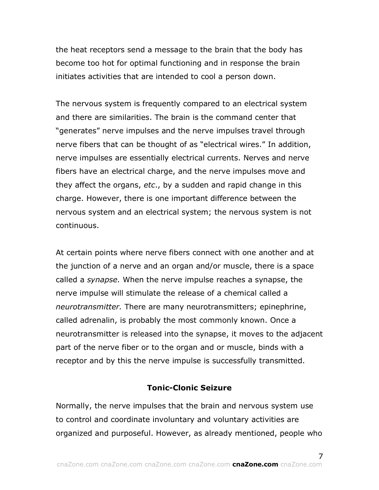the heat receptors send a message to the brain that the body has become too hot for optimal functioning and in response the brain initiates activities that are intended to cool a person down.

The nervous system is frequently compared to an electrical system and there are similarities. The brain is the command center that "generates" nerve impulses and the nerve impulses travel through nerve fibers that can be thought of as "electrical wires." In addition, nerve impulses are essentially electrical currents. Nerves and nerve fibers have an electrical charge, and the nerve impulses move and they affect the organs, *etc*., by a sudden and rapid change in this charge. However, there is one important difference between the nervous system and an electrical system; the nervous system is not continuous.

At certain points where nerve fibers connect with one another and at the junction of a nerve and an organ and/or muscle, there is a space called a *synapse.* When the nerve impulse reaches a synapse, the nerve impulse will stimulate the release of a chemical called a *neurotransmitter.* There are many neurotransmitters; epinephrine, called adrenalin, is probably the most commonly known. Once a neurotransmitter is released into the synapse, it moves to the adjacent part of the nerve fiber or to the organ and or muscle, binds with a receptor and by this the nerve impulse is successfully transmitted.

# **Tonic-Clonic Seizure**

Normally, the nerve impulses that the brain and nervous system use to control and coordinate involuntary and voluntary activities are organized and purposeful. However, as already mentioned, people who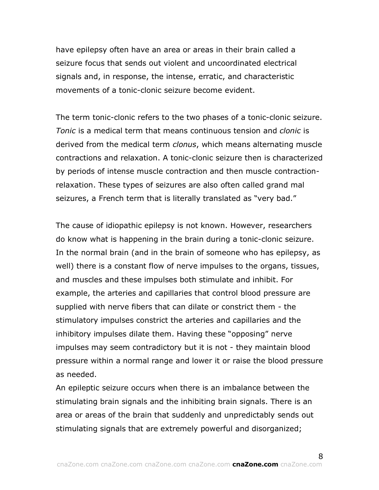have epilepsy often have an area or areas in their brain called a seizure focus that sends out violent and uncoordinated electrical signals and, in response, the intense, erratic, and characteristic movements of a tonic-clonic seizure become evident.

The term tonic-clonic refers to the two phases of a tonic-clonic seizure. *Tonic* is a medical term that means continuous tension and *clonic* is derived from the medical term *clonus*, which means alternating muscle contractions and relaxation. A tonic-clonic seizure then is characterized by periods of intense muscle contraction and then muscle contractionrelaxation. These types of seizures are also often called grand mal seizures, a French term that is literally translated as "very bad."

The cause of idiopathic epilepsy is not known. However, researchers do know what is happening in the brain during a tonic-clonic seizure. In the normal brain (and in the brain of someone who has epilepsy, as well) there is a constant flow of nerve impulses to the organs, tissues, and muscles and these impulses both stimulate and inhibit. For example, the arteries and capillaries that control blood pressure are supplied with nerve fibers that can dilate or constrict them - the stimulatory impulses constrict the arteries and capillaries and the inhibitory impulses dilate them. Having these "opposing" nerve impulses may seem contradictory but it is not - they maintain blood pressure within a normal range and lower it or raise the blood pressure as needed.

An epileptic seizure occurs when there is an imbalance between the stimulating brain signals and the inhibiting brain signals. There is an area or areas of the brain that suddenly and unpredictably sends out stimulating signals that are extremely powerful and disorganized;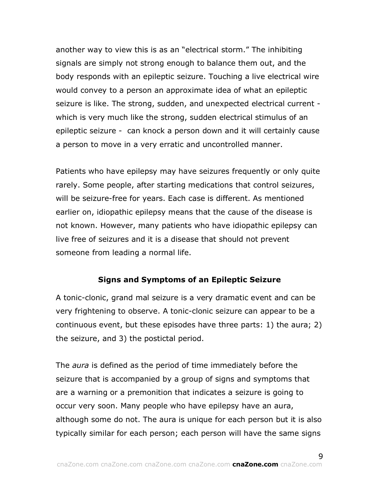another way to view this is as an "electrical storm." The inhibiting signals are simply not strong enough to balance them out, and the body responds with an epileptic seizure. Touching a live electrical wire would convey to a person an approximate idea of what an epileptic seizure is like. The strong, sudden, and unexpected electrical current which is very much like the strong, sudden electrical stimulus of an epileptic seizure - can knock a person down and it will certainly cause a person to move in a very erratic and uncontrolled manner.

Patients who have epilepsy may have seizures frequently or only quite rarely. Some people, after starting medications that control seizures, will be seizure-free for years. Each case is different. As mentioned earlier on, idiopathic epilepsy means that the cause of the disease is not known. However, many patients who have idiopathic epilepsy can live free of seizures and it is a disease that should not prevent someone from leading a normal life.

# **Signs and Symptoms of an Epileptic Seizure**

A tonic-clonic, grand mal seizure is a very dramatic event and can be very frightening to observe. A tonic-clonic seizure can appear to be a continuous event, but these episodes have three parts: 1) the aura; 2) the seizure, and 3) the postictal period.

The *aura* is defined as the period of time immediately before the seizure that is accompanied by a group of signs and symptoms that are a warning or a premonition that indicates a seizure is going to occur very soon. Many people who have epilepsy have an aura, although some do not. The aura is unique for each person but it is also typically similar for each person; each person will have the same signs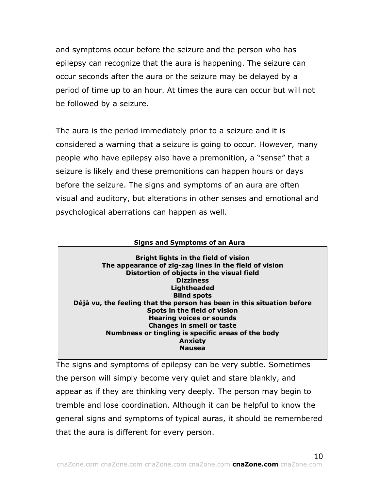and symptoms occur before the seizure and the person who has epilepsy can recognize that the aura is happening. The seizure can occur seconds after the aura or the seizure may be delayed by a period of time up to an hour. At times the aura can occur but will not be followed by a seizure.

The aura is the period immediately prior to a seizure and it is considered a warning that a seizure is going to occur. However, many people who have epilepsy also have a premonition, a "sense" that a seizure is likely and these premonitions can happen hours or days before the seizure. The signs and symptoms of an aura are often visual and auditory, but alterations in other senses and emotional and psychological aberrations can happen as well.

#### **Signs and Symptoms of an Aura**

**Bright lights in the field of vision The appearance of zig-zag lines in the field of vision Distortion of objects in the visual field Dizziness Lightheaded Blind spots Déjà vu, the feeling that the person has been in this situation before Spots in the field of vision Hearing voices or sounds Changes in smell or taste Numbness or tingling is specific areas of the body Anxiety Nausea**

The signs and symptoms of epilepsy can be very subtle. Sometimes the person will simply become very quiet and stare blankly, and appear as if they are thinking very deeply. The person may begin to tremble and lose coordination. Although it can be helpful to know the general signs and symptoms of typical auras, it should be remembered that the aura is different for every person.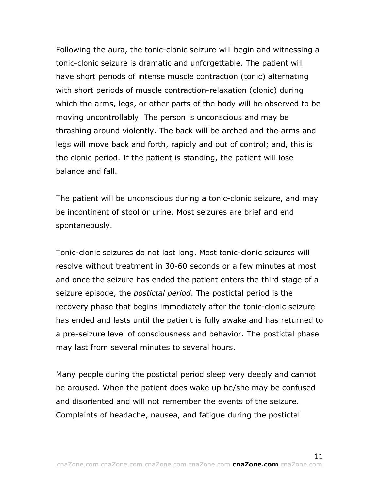Following the aura, the tonic-clonic seizure will begin and witnessing a tonic-clonic seizure is dramatic and unforgettable. The patient will have short periods of intense muscle contraction (tonic) alternating with short periods of muscle contraction-relaxation (clonic) during which the arms, legs, or other parts of the body will be observed to be moving uncontrollably. The person is unconscious and may be thrashing around violently. The back will be arched and the arms and legs will move back and forth, rapidly and out of control; and, this is the clonic period. If the patient is standing, the patient will lose balance and fall.

The patient will be unconscious during a tonic-clonic seizure, and may be incontinent of stool or urine. Most seizures are brief and end spontaneously.

Tonic-clonic seizures do not last long. Most tonic-clonic seizures will resolve without treatment in 30-60 seconds or a few minutes at most and once the seizure has ended the patient enters the third stage of a seizure episode, the *postictal period*. The postictal period is the recovery phase that begins immediately after the tonic-clonic seizure has ended and lasts until the patient is fully awake and has returned to a pre-seizure level of consciousness and behavior. The postictal phase may last from several minutes to several hours.

Many people during the postictal period sleep very deeply and cannot be aroused. When the patient does wake up he/she may be confused and disoriented and will not remember the events of the seizure. Complaints of headache, nausea, and fatigue during the postictal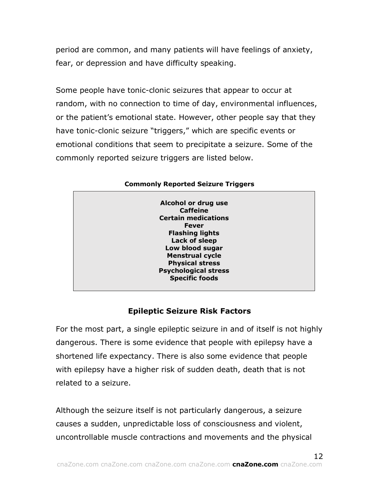period are common, and many patients will have feelings of anxiety, fear, or depression and have difficulty speaking.

Some people have tonic-clonic seizures that appear to occur at random, with no connection to time of day, environmental influences, or the patient's emotional state. However, other people say that they have tonic-clonic seizure "triggers," which are specific events or emotional conditions that seem to precipitate a seizure. Some of the commonly reported seizure triggers are listed below.

| Alcohol or drug use         |  |
|-----------------------------|--|
| <b>Caffeine</b>             |  |
| <b>Certain medications</b>  |  |
| <b>Fever</b>                |  |
| <b>Flashing lights</b>      |  |
| Lack of sleep               |  |
| Low blood sugar             |  |
|                             |  |
| <b>Menstrual cycle</b>      |  |
| <b>Physical stress</b>      |  |
| <b>Psychological stress</b> |  |
| <b>Specific foods</b>       |  |
|                             |  |

## **Commonly Reported Seizure Triggers**

# **Epileptic Seizure Risk Factors**

For the most part, a single epileptic seizure in and of itself is not highly dangerous. There is some evidence that people with epilepsy have a shortened life expectancy. There is also some evidence that people with epilepsy have a higher risk of sudden death, death that is not related to a seizure.

Although the seizure itself is not particularly dangerous, a seizure causes a sudden, unpredictable loss of consciousness and violent, uncontrollable muscle contractions and movements and the physical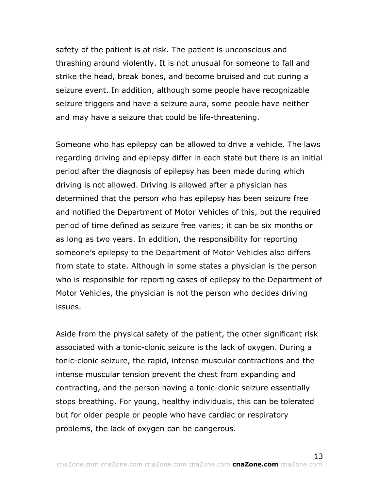safety of the patient is at risk. The patient is unconscious and thrashing around violently. It is not unusual for someone to fall and strike the head, break bones, and become bruised and cut during a seizure event. In addition, although some people have recognizable seizure triggers and have a seizure aura, some people have neither and may have a seizure that could be life-threatening.

Someone who has epilepsy can be allowed to drive a vehicle. The laws regarding driving and epilepsy differ in each state but there is an initial period after the diagnosis of epilepsy has been made during which driving is not allowed. Driving is allowed after a physician has determined that the person who has epilepsy has been seizure free and notified the Department of Motor Vehicles of this, but the required period of time defined as seizure free varies; it can be six months or as long as two years. In addition, the responsibility for reporting someone's epilepsy to the Department of Motor Vehicles also differs from state to state. Although in some states a physician is the person who is responsible for reporting cases of epilepsy to the Department of Motor Vehicles, the physician is not the person who decides driving issues.

Aside from the physical safety of the patient, the other significant risk associated with a tonic-clonic seizure is the lack of oxygen. During a tonic-clonic seizure, the rapid, intense muscular contractions and the intense muscular tension prevent the chest from expanding and contracting, and the person having a tonic-clonic seizure essentially stops breathing. For young, healthy individuals, this can be tolerated but for older people or people who have cardiac or respiratory problems, the lack of oxygen can be dangerous.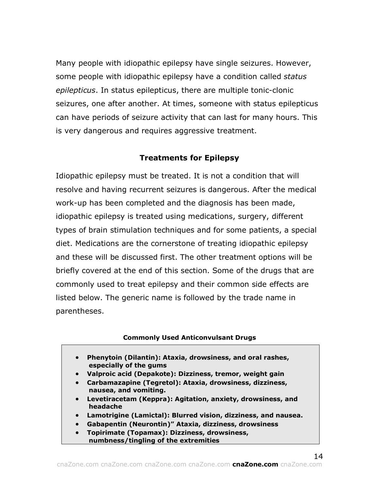Many people with idiopathic epilepsy have single seizures. However, some people with idiopathic epilepsy have a condition called *status epilepticus*. In status epilepticus, there are multiple tonic-clonic seizures, one after another. At times, someone with status epilepticus can have periods of seizure activity that can last for many hours. This is very dangerous and requires aggressive treatment.

## **Treatments for Epilepsy**

Idiopathic epilepsy must be treated. It is not a condition that will resolve and having recurrent seizures is dangerous. After the medical work-up has been completed and the diagnosis has been made, idiopathic epilepsy is treated using medications, surgery, different types of brain stimulation techniques and for some patients, a special diet. Medications are the cornerstone of treating idiopathic epilepsy and these will be discussed first. The other treatment options will be briefly covered at the end of this section. Some of the drugs that are commonly used to treat epilepsy and their common side effects are listed below. The generic name is followed by the trade name in parentheses.

#### **Commonly Used Anticonvulsant Drugs**

- **Phenytoin (Dilantin): Ataxia, drowsiness, and oral rashes, especially of the gums**
- **Valproic acid (Depakote): Dizziness, tremor, weight gain**
- **Carbamazapine (Tegretol): Ataxia, drowsiness, dizziness, nausea, and vomiting.**
- **Levetiracetam (Keppra): Agitation, anxiety, drowsiness, and headache**
- **Lamotrigine (Lamictal): Blurred vision, dizziness, and nausea.**
- **Gabapentin (Neurontin)" Ataxia, dizziness, drowsiness**
- **Topirimate (Topamax): Dizziness, drowsiness, numbness/tingling of the extremities**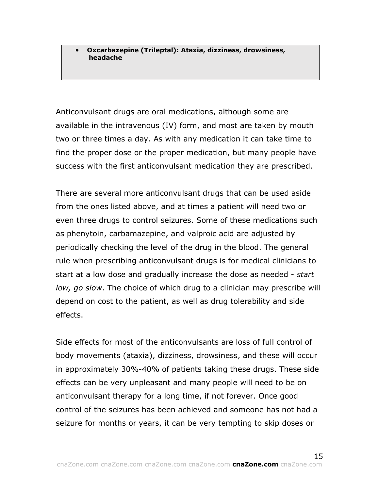• **Oxcarbazepine (Trileptal): Ataxia, dizziness, drowsiness, headache**

Anticonvulsant drugs are oral medications, although some are available in the intravenous (IV) form, and most are taken by mouth two or three times a day. As with any medication it can take time to find the proper dose or the proper medication, but many people have success with the first anticonvulsant medication they are prescribed.

There are several more anticonvulsant drugs that can be used aside from the ones listed above, and at times a patient will need two or even three drugs to control seizures. Some of these medications such as phenytoin, carbamazepine, and valproic acid are adjusted by periodically checking the level of the drug in the blood. The general rule when prescribing anticonvulsant drugs is for medical clinicians to start at a low dose and gradually increase the dose as needed - *start low, go slow*. The choice of which drug to a clinician may prescribe will depend on cost to the patient, as well as drug tolerability and side effects.

Side effects for most of the anticonvulsants are loss of full control of body movements (ataxia), dizziness, drowsiness, and these will occur in approximately 30%-40% of patients taking these drugs. These side effects can be very unpleasant and many people will need to be on anticonvulsant therapy for a long time, if not forever. Once good control of the seizures has been achieved and someone has not had a seizure for months or years, it can be very tempting to skip doses or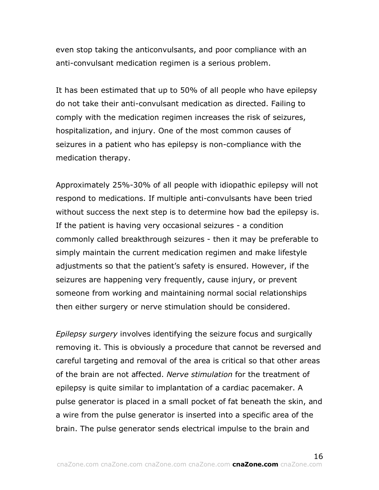even stop taking the anticonvulsants, and poor compliance with an anti-convulsant medication regimen is a serious problem.

It has been estimated that up to 50% of all people who have epilepsy do not take their anti-convulsant medication as directed. Failing to comply with the medication regimen increases the risk of seizures, hospitalization, and injury. One of the most common causes of seizures in a patient who has epilepsy is non-compliance with the medication therapy.

Approximately 25%-30% of all people with idiopathic epilepsy will not respond to medications. If multiple anti-convulsants have been tried without success the next step is to determine how bad the epilepsy is. If the patient is having very occasional seizures - a condition commonly called breakthrough seizures - then it may be preferable to simply maintain the current medication regimen and make lifestyle adjustments so that the patient's safety is ensured. However, if the seizures are happening very frequently, cause injury, or prevent someone from working and maintaining normal social relationships then either surgery or nerve stimulation should be considered.

*Epilepsy surgery* involves identifying the seizure focus and surgically removing it. This is obviously a procedure that cannot be reversed and careful targeting and removal of the area is critical so that other areas of the brain are not affected. *Nerve stimulation* for the treatment of epilepsy is quite similar to implantation of a cardiac pacemaker. A pulse generator is placed in a small pocket of fat beneath the skin, and a wire from the pulse generator is inserted into a specific area of the brain. The pulse generator sends electrical impulse to the brain and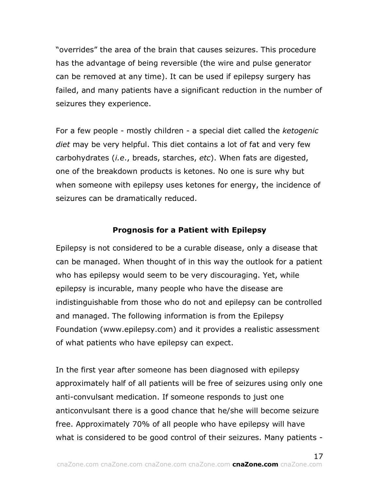"overrides" the area of the brain that causes seizures. This procedure has the advantage of being reversible (the wire and pulse generator can be removed at any time). It can be used if epilepsy surgery has failed, and many patients have a significant reduction in the number of seizures they experience.

For a few people - mostly children - a special diet called the *ketogenic diet* may be very helpful. This diet contains a lot of fat and very few carbohydrates (*i.e*., breads, starches, *etc*). When fats are digested, one of the breakdown products is ketones. No one is sure why but when someone with epilepsy uses ketones for energy, the incidence of seizures can be dramatically reduced.

#### **Prognosis for a Patient with Epilepsy**

Epilepsy is not considered to be a curable disease, only a disease that can be managed. When thought of in this way the outlook for a patient who has epilepsy would seem to be very discouraging. Yet, while epilepsy is incurable, many people who have the disease are indistinguishable from those who do not and epilepsy can be controlled and managed. The following information is from the Epilepsy Foundation (www.epilepsy.com) and it provides a realistic assessment of what patients who have epilepsy can expect.

In the first year after someone has been diagnosed with epilepsy approximately half of all patients will be free of seizures using only one anti-convulsant medication. If someone responds to just one anticonvulsant there is a good chance that he/she will become seizure free. Approximately 70% of all people who have epilepsy will have what is considered to be good control of their seizures. Many patients -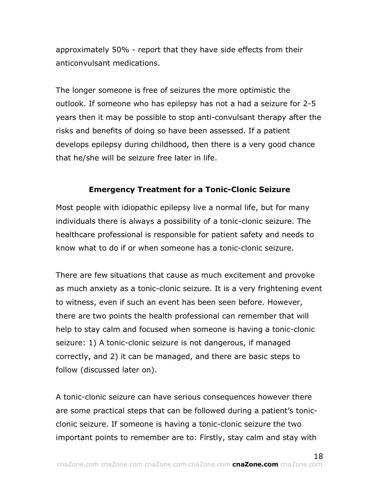approximately 50% - report that they have side effects from their anticonvulsant medications.

The longer someone is free of seizures the more optimistic the outlook. If someone who has epilepsy has not a had a seizure for 2-5 years then it may be possible to stop anti-convulsant therapy after the risks and benefits of doing so have been assessed. If a patient develops epilepsy during childhood, then there is a very good chance that he/she will be seizure free later in life.

## **Emergency Treatment for a Tonic-Clonic Seizure**

Most people with idiopathic epilepsy live a normal life, but for many individuals there is always a possibility of a tonic-clonic seizure. The healthcare professional is responsible for patient safety and needs to know what to do if or when someone has a tonic-clonic seizure.

There are few situations that cause as much excitement and provoke as much anxiety as a tonic-clonic seizure. It is a very frightening event to witness, even if such an event has been seen before. However, there are two points the health professional can remember that will help to stay calm and focused when someone is having a tonic-clonic seizure: 1) A tonic-clonic seizure is not dangerous, if managed correctly, and 2) it can be managed, and there are basic steps to follow (discussed later on).

A tonic-clonic seizure can have serious consequences however there are some practical steps that can be followed during a patient's tonicclonic seizure. If someone is having a tonic-clonic seizure the two important points to remember are to: Firstly, stay calm and stay with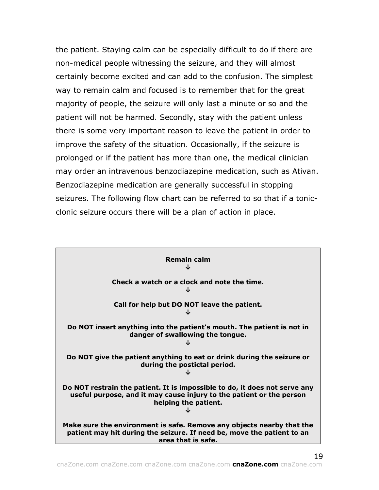the patient. Staying calm can be especially difficult to do if there are non-medical people witnessing the seizure, and they will almost certainly become excited and can add to the confusion. The simplest way to remain calm and focused is to remember that for the great majority of people, the seizure will only last a minute or so and the patient will not be harmed. Secondly, stay with the patient unless there is some very important reason to leave the patient in order to improve the safety of the situation. Occasionally, if the seizure is prolonged or if the patient has more than one, the medical clinician may order an intravenous benzodiazepine medication, such as Ativan. Benzodiazepine medication are generally successful in stopping seizures. The following flow chart can be referred to so that if a tonicclonic seizure occurs there will be a plan of action in place.

| <b>Remain calm</b>                                                                                                                                                         |
|----------------------------------------------------------------------------------------------------------------------------------------------------------------------------|
| Check a watch or a clock and note the time.<br>J                                                                                                                           |
| Call for help but DO NOT leave the patient.<br>J                                                                                                                           |
| Do NOT insert anything into the patient's mouth. The patient is not in<br>danger of swallowing the tongue.                                                                 |
| Do NOT give the patient anything to eat or drink during the seizure or<br>during the postictal period.                                                                     |
| Do NOT restrain the patient. It is impossible to do, it does not serve any<br>useful purpose, and it may cause injury to the patient or the person<br>helping the patient. |
| Make sure the environment is safe. Remove any objects nearby that the<br>patient may hit during the seizure. If need be, move the patient to an<br>area that is safe.      |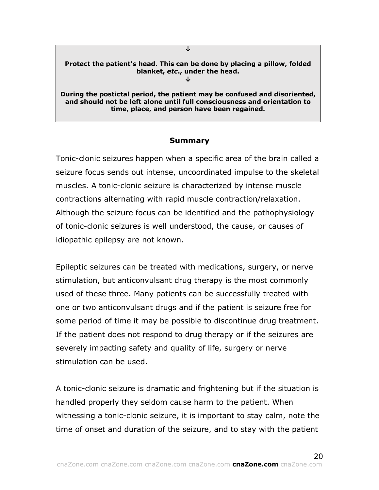#### **Protect the patient's head. This can be done by placing a pillow, folded blanket,** *etc***., under the head.**

**↓**

**↓**

**During the postictal period, the patient may be confused and disoriented, and should not be left alone until full consciousness and orientation to time, place, and person have been regained.**

#### **Summary**

Tonic-clonic seizures happen when a specific area of the brain called a seizure focus sends out intense, uncoordinated impulse to the skeletal muscles. A tonic-clonic seizure is characterized by intense muscle contractions alternating with rapid muscle contraction/relaxation. Although the seizure focus can be identified and the pathophysiology of tonic-clonic seizures is well understood, the cause, or causes of idiopathic epilepsy are not known.

Epileptic seizures can be treated with medications, surgery, or nerve stimulation, but anticonvulsant drug therapy is the most commonly used of these three. Many patients can be successfully treated with one or two anticonvulsant drugs and if the patient is seizure free for some period of time it may be possible to discontinue drug treatment. If the patient does not respond to drug therapy or if the seizures are severely impacting safety and quality of life, surgery or nerve stimulation can be used.

A tonic-clonic seizure is dramatic and frightening but if the situation is handled properly they seldom cause harm to the patient. When witnessing a tonic-clonic seizure, it is important to stay calm, note the time of onset and duration of the seizure, and to stay with the patient